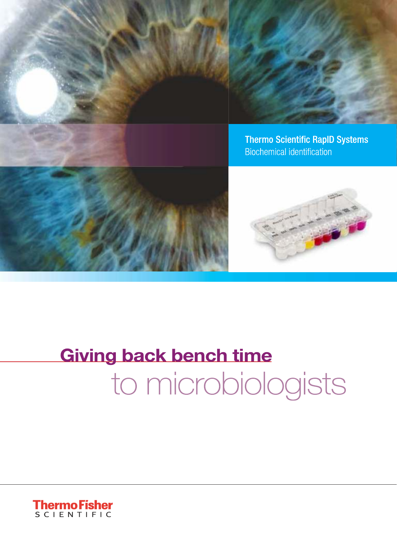



**Thermo Scientific RapID Systems Biochemical identification** 



# **Giving back bench time** to microbiologists